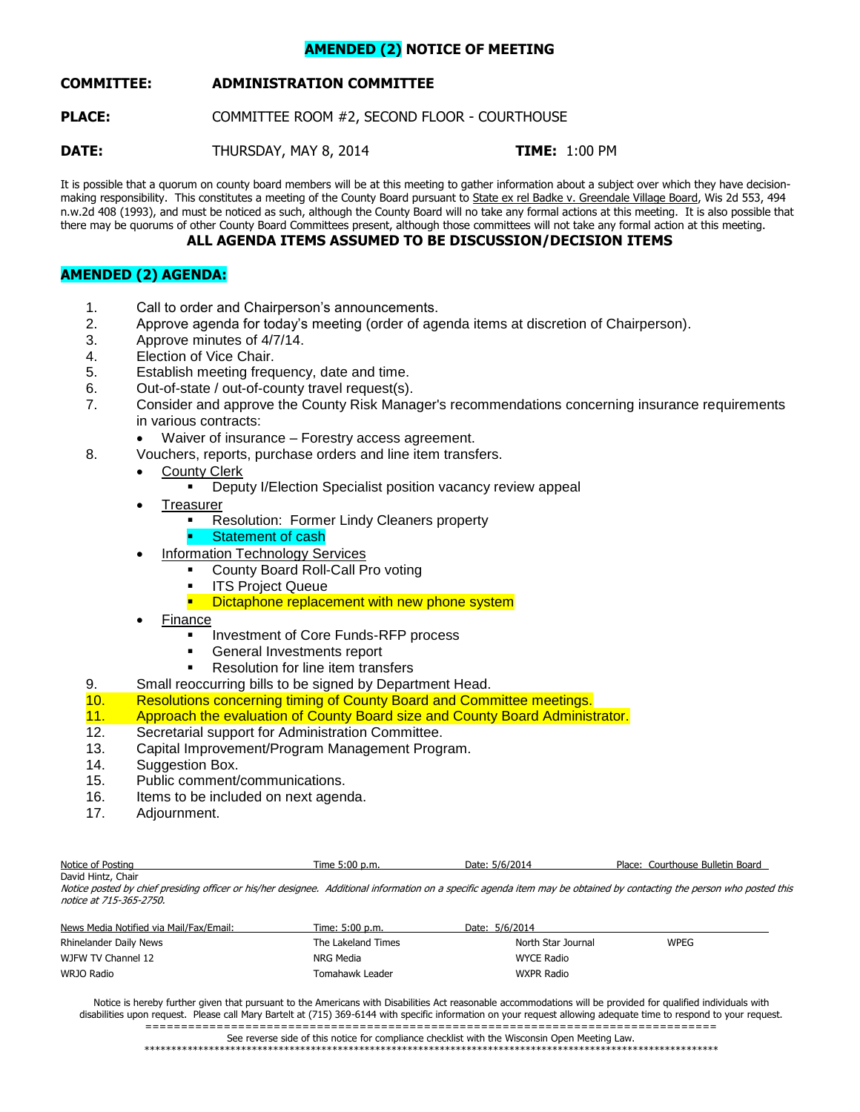# **AMENDED (2) NOTICE OF MEETING**

# **COMMITTEE: ADMINISTRATION COMMITTEE**

**PLACE:** COMMITTEE ROOM #2, SECOND FLOOR - COURTHOUSE

**DATE:** THURSDAY, MAY 8, 2014 **TIME:** 1:00 PM

It is possible that a quorum on county board members will be at this meeting to gather information about a subject over which they have decisionmaking responsibility. This constitutes a meeting of the County Board pursuant to State ex rel Badke v. Greendale Village Board, Wis 2d 553, 494 n.w.2d 408 (1993), and must be noticed as such, although the County Board will no take any formal actions at this meeting. It is also possible that there may be quorums of other County Board Committees present, although those committees will not take any formal action at this meeting.

# **ALL AGENDA ITEMS ASSUMED TO BE DISCUSSION/DECISION ITEMS**

# **AMENDED (2) AGENDA:**

- 1. Call to order and Chairperson's announcements.
- 2. Approve agenda for today's meeting (order of agenda items at discretion of Chairperson).
- 3. Approve minutes of 4/7/14.
- 4. Election of Vice Chair.
- 5. Establish meeting frequency, date and time.
- 6. Out-of-state / out-of-county travel request(s).
- 7. Consider and approve the County Risk Manager's recommendations concerning insurance requirements in various contracts:
	- Waiver of insurance Forestry access agreement.
- 8. Vouchers, reports, purchase orders and line item transfers.
	- County Clerk
		- Deputy I/Election Specialist position vacancy review appeal
	- **Treasurer** 
		- **Resolution: Former Lindy Cleaners property**
		- Statement of cash
		- Information Technology Services
			- County Board Roll-Call Pro voting
			- ITS Project Queue
			- **Dictaphone replacement with new phone system**
	- Finance
		- **Investment of Core Funds-RFP process**
		- **General Investments report**
		- Resolution for line item transfers
- 9. Small reoccurring bills to be signed by Department Head.
- 10. Resolutions concerning timing of County Board and Committee meetings.
- 11. Approach the evaluation of County Board size and County Board Administrator.
- 12. Secretarial support for Administration Committee.
- 13. Capital Improvement/Program Management Program.
- 14. Suggestion Box.
- 15. Public comment/communications.
- 16. Items to be included on next agenda.
- 17. Adjournment.

| Notice of Posting     | Time 5:00 p.m. | 5/6/2014<br>Date: | Courthouse Bulletin Board<br>Place: |
|-----------------------|----------------|-------------------|-------------------------------------|
| David Hintz,<br>Chair |                |                   |                                     |

Notice posted by chief presiding officer or his/her designee. Additional information on a specific agenda item may be obtained by contacting the person who posted this notice at 715-365-2750.

| News Media Notified via Mail/Fax/Email: | Time: 5:00 p.m.    | Date: 5/6/2014     |             |
|-----------------------------------------|--------------------|--------------------|-------------|
| Rhinelander Daily News                  | The Lakeland Times | North Star Journal | <b>WPEG</b> |
| WJFW TV Channel 12                      | NRG Media          | <b>WYCE Radio</b>  |             |
| WRJO Radio                              | Tomahawk Leader    | <b>WXPR Radio</b>  |             |

Notice is hereby further given that pursuant to the Americans with Disabilities Act reasonable accommodations will be provided for qualified individuals with disabilities upon request. Please call Mary Bartelt at (715) 369-6144 with specific information on your request allowing adequate time to respond to your request. ================================================================================

See reverse side of this notice for compliance checklist with the Wisconsin Open Meeting Law.

\*\*\*\*\*\*\*\*\*\*\*\*\*\*\*\*\*\*\*\*\*\*\*\*\*\*\*\*\*\*\*\*\*\*\*\*\*\*\*\*\*\*\*\*\*\*\*\*\*\*\*\*\*\*\*\*\*\*\*\*\*\*\*\*\*\*\*\*\*\*\*\*\*\*\*\*\*\*\*\*\*\*\*\*\*\*\*\*\*\*\*\*\*\*\*\*\*\*\*\*\*\*\*\*\*\*\*